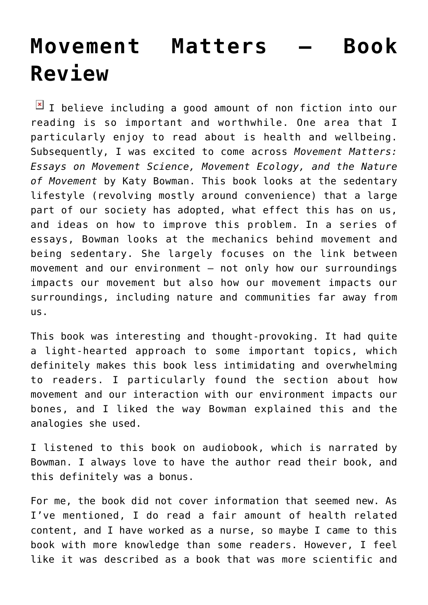## **[Movement Matters – Book](https://www.glimpsinggembles.com/2018/03/31/movement-matters-book-review/) [Review](https://www.glimpsinggembles.com/2018/03/31/movement-matters-book-review/)**

 $I$  I believe including a good amount of non fiction into our reading is so important and worthwhile. One area that I particularly enjoy to read about is health and wellbeing. Subsequently, I was excited to come across *Movement Matters: Essays on Movement Science, Movement Ecology, and the Nature of Movement* by Katy Bowman. This book looks at the sedentary lifestyle (revolving mostly around convenience) that a large part of our society has adopted, what effect this has on us, and ideas on how to improve this problem. In a series of essays, Bowman looks at the mechanics behind movement and being sedentary. She largely focuses on the link between movement and our environment – not only how our surroundings impacts our movement but also how our movement impacts our surroundings, including nature and communities far away from us.

This book was interesting and thought-provoking. It had quite a light-hearted approach to some important topics, which definitely makes this book less intimidating and overwhelming to readers. I particularly found the section about how movement and our interaction with our environment impacts our bones, and I liked the way Bowman explained this and the analogies she used.

I listened to this book on audiobook, which is narrated by Bowman. I always love to have the author read their book, and this definitely was a bonus.

For me, the book did not cover information that seemed new. As I've mentioned, I do read a fair amount of health related content, and I have worked as a nurse, so maybe I came to this book with more knowledge than some readers. However, I feel like it was described as a book that was more scientific and